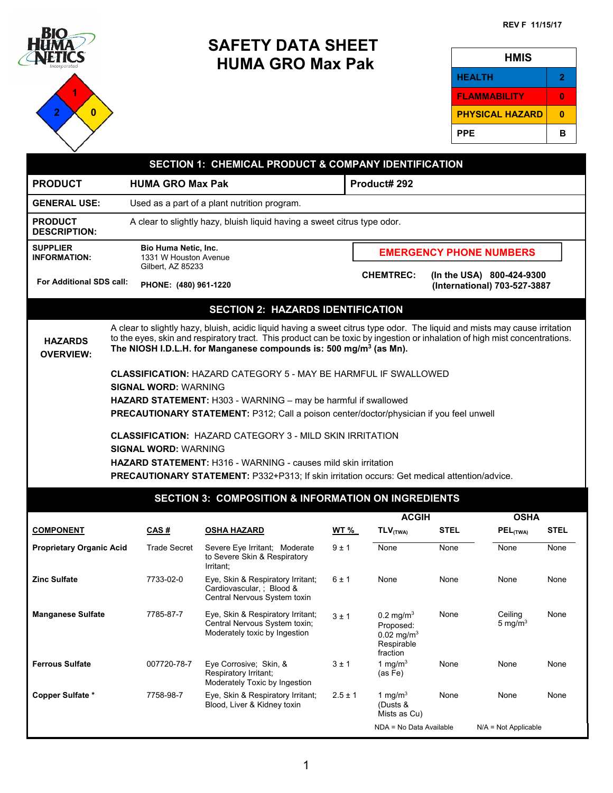

**1 2 0** 

# **SAFETY DATA SHEET HUMA GRO Max Pak**

| HMIS                   |              |
|------------------------|--------------|
| <b>HEALTH</b>          | $\mathbf{2}$ |
| <b>FLAMMABILITY</b>    | æ            |
| <b>PHYSICAL HAZARD</b> | Ω            |
| PPE                    | в            |
|                        |              |

| <b>SECTION 1: CHEMICAL PRODUCT &amp; COMPANY IDENTIFICATION</b> |                                                                                                                                                                                                                                                                                                                                                                                                                                                                                                                                                             |                                                                           |                                                                                                                                                                                                                                                                                                                                           |              |  |                                                                                         |             |                                |             |
|-----------------------------------------------------------------|-------------------------------------------------------------------------------------------------------------------------------------------------------------------------------------------------------------------------------------------------------------------------------------------------------------------------------------------------------------------------------------------------------------------------------------------------------------------------------------------------------------------------------------------------------------|---------------------------------------------------------------------------|-------------------------------------------------------------------------------------------------------------------------------------------------------------------------------------------------------------------------------------------------------------------------------------------------------------------------------------------|--------------|--|-----------------------------------------------------------------------------------------|-------------|--------------------------------|-------------|
| <b>PRODUCT</b>                                                  |                                                                                                                                                                                                                                                                                                                                                                                                                                                                                                                                                             | <b>HUMA GRO Max Pak</b>                                                   |                                                                                                                                                                                                                                                                                                                                           |              |  | Product# 292                                                                            |             |                                |             |
| <b>GENERAL USE:</b>                                             | Used as a part of a plant nutrition program.                                                                                                                                                                                                                                                                                                                                                                                                                                                                                                                |                                                                           |                                                                                                                                                                                                                                                                                                                                           |              |  |                                                                                         |             |                                |             |
| <b>PRODUCT</b><br><b>DESCRIPTION:</b>                           |                                                                                                                                                                                                                                                                                                                                                                                                                                                                                                                                                             |                                                                           | A clear to slightly hazy, bluish liquid having a sweet citrus type odor.                                                                                                                                                                                                                                                                  |              |  |                                                                                         |             |                                |             |
| <b>SUPPLIER</b><br><b>INFORMATION:</b>                          |                                                                                                                                                                                                                                                                                                                                                                                                                                                                                                                                                             | <b>Bio Huma Netic, Inc.</b><br>1331 W Houston Avenue<br>Gilbert, AZ 85233 |                                                                                                                                                                                                                                                                                                                                           |              |  |                                                                                         |             | <b>EMERGENCY PHONE NUMBERS</b> |             |
|                                                                 | <b>CHEMTREC:</b><br>(In the USA) 800-424-9300<br><b>For Additional SDS call:</b><br>PHONE: (480) 961-1220<br>(International) 703-527-3887                                                                                                                                                                                                                                                                                                                                                                                                                   |                                                                           |                                                                                                                                                                                                                                                                                                                                           |              |  |                                                                                         |             |                                |             |
|                                                                 |                                                                                                                                                                                                                                                                                                                                                                                                                                                                                                                                                             |                                                                           | <b>SECTION 2: HAZARDS IDENTIFICATION</b>                                                                                                                                                                                                                                                                                                  |              |  |                                                                                         |             |                                |             |
| <b>HAZARDS</b><br><b>OVERVIEW:</b>                              |                                                                                                                                                                                                                                                                                                                                                                                                                                                                                                                                                             |                                                                           | A clear to slightly hazy, bluish, acidic liquid having a sweet citrus type odor. The liquid and mists may cause irritation<br>to the eyes, skin and respiratory tract. This product can be toxic by ingestion or inhalation of high mist concentrations.<br>The NIOSH I.D.L.H. for Manganese compounds is: 500 mg/m <sup>3</sup> (as Mn). |              |  |                                                                                         |             |                                |             |
|                                                                 | <b>CLASSIFICATION: HAZARD CATEGORY 5 - MAY BE HARMFUL IF SWALLOWED</b><br><b>SIGNAL WORD: WARNING</b><br><b>HAZARD STATEMENT:</b> H303 - WARNING - may be harmful if swallowed<br>PRECAUTIONARY STATEMENT: P312; Call a poison center/doctor/physician if you feel unwell<br><b>CLASSIFICATION: HAZARD CATEGORY 3 - MILD SKIN IRRITATION</b><br><b>SIGNAL WORD: WARNING</b><br><b>HAZARD STATEMENT:</b> H316 - WARNING - causes mild skin irritation<br><b>PRECAUTIONARY STATEMENT: P332+P313; If skin irritation occurs: Get medical attention/advice.</b> |                                                                           |                                                                                                                                                                                                                                                                                                                                           |              |  |                                                                                         |             |                                |             |
|                                                                 |                                                                                                                                                                                                                                                                                                                                                                                                                                                                                                                                                             |                                                                           | <b>SECTION 3: COMPOSITION &amp; INFORMATION ON INGREDIENTS</b>                                                                                                                                                                                                                                                                            |              |  |                                                                                         |             |                                |             |
|                                                                 |                                                                                                                                                                                                                                                                                                                                                                                                                                                                                                                                                             |                                                                           |                                                                                                                                                                                                                                                                                                                                           |              |  | <b>ACGIH</b>                                                                            |             | <b>OSHA</b>                    |             |
| <b>COMPONENT</b>                                                |                                                                                                                                                                                                                                                                                                                                                                                                                                                                                                                                                             | CAS#                                                                      | <b>OSHA HAZARD</b>                                                                                                                                                                                                                                                                                                                        | <u>WT %_</u> |  | $TLV$ <sub>(TWA)</sub>                                                                  | <b>STEL</b> | PEL(TWA)                       | <b>STEL</b> |
| <b>Proprietary Organic Acid</b>                                 |                                                                                                                                                                                                                                                                                                                                                                                                                                                                                                                                                             | <b>Trade Secret</b>                                                       | Severe Eye Irritant; Moderate<br>to Severe Skin & Respiratory<br>Irritant;                                                                                                                                                                                                                                                                | 9±1          |  | None                                                                                    | None        | None                           | None        |
| <b>Zinc Sulfate</b>                                             |                                                                                                                                                                                                                                                                                                                                                                                                                                                                                                                                                             | 7733-02-0                                                                 | Eye, Skin & Respiratory Irritant;<br>Cardiovascular, ; Blood &<br>Central Nervous System toxin                                                                                                                                                                                                                                            | 6 ± 1        |  | None                                                                                    | None        | None                           | None        |
| <b>Manganese Sulfate</b>                                        |                                                                                                                                                                                                                                                                                                                                                                                                                                                                                                                                                             | 7785-87-7                                                                 | Eye, Skin & Respiratory Irritant;<br>Central Nervous System toxin;<br>Moderately toxic by Ingestion                                                                                                                                                                                                                                       | 3±1          |  | $0.2 \text{ mg/m}^3$<br>Proposed:<br>$0.02$ mg/m <sup>3</sup><br>Respirable<br>fraction | None        | Ceiling<br>5 mg/m $3$          | None        |
| <b>Ferrous Sulfate</b>                                          |                                                                                                                                                                                                                                                                                                                                                                                                                                                                                                                                                             | 007720-78-7                                                               | Eye Corrosive; Skin, &<br>Respiratory Irritant;<br>Moderately Toxic by Ingestion                                                                                                                                                                                                                                                          | 3±1          |  | 1 ma/m $3$<br>(as Fe)                                                                   | None        | None                           | None        |
| Copper Sulfate *                                                |                                                                                                                                                                                                                                                                                                                                                                                                                                                                                                                                                             | 7758-98-7                                                                 | Eye, Skin & Respiratory Irritant;<br>Blood, Liver & Kidney toxin                                                                                                                                                                                                                                                                          | $2.5 \pm 1$  |  | 1 mg/m $3$<br>(Dusts &<br>Mists as Cu)                                                  | None        | None                           | None        |
|                                                                 |                                                                                                                                                                                                                                                                                                                                                                                                                                                                                                                                                             |                                                                           |                                                                                                                                                                                                                                                                                                                                           |              |  | NDA = No Data Available                                                                 |             | $N/A = Not Applicable$         |             |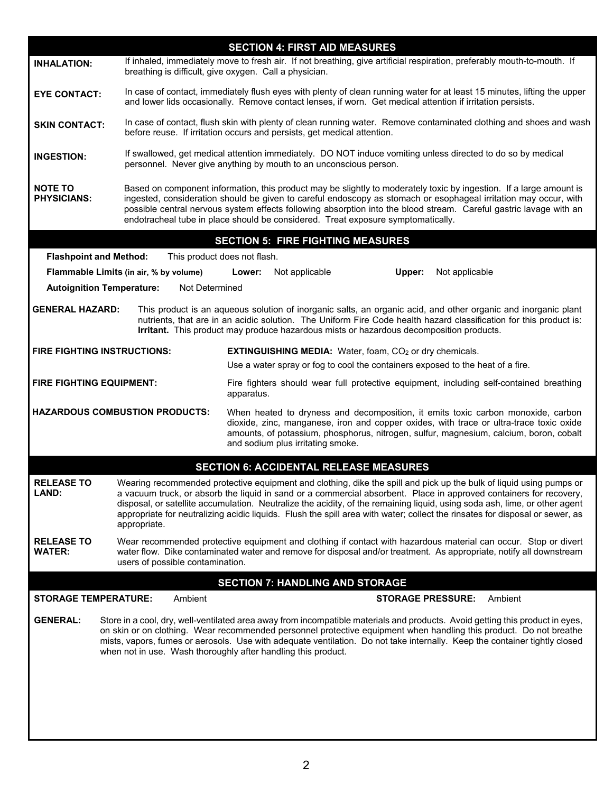|                                      |                                                                                                                                                                                                                                                                                                                                                     | <b>SECTION 4: FIRST AID MEASURES</b>                                                                                                                                                                                                                                                                                                                                                                                                                                                                    |  |
|--------------------------------------|-----------------------------------------------------------------------------------------------------------------------------------------------------------------------------------------------------------------------------------------------------------------------------------------------------------------------------------------------------|---------------------------------------------------------------------------------------------------------------------------------------------------------------------------------------------------------------------------------------------------------------------------------------------------------------------------------------------------------------------------------------------------------------------------------------------------------------------------------------------------------|--|
| <b>INHALATION:</b>                   |                                                                                                                                                                                                                                                                                                                                                     | If inhaled, immediately move to fresh air. If not breathing, give artificial respiration, preferably mouth-to-mouth. If<br>breathing is difficult, give oxygen. Call a physician.                                                                                                                                                                                                                                                                                                                       |  |
| <b>EYE CONTACT:</b>                  |                                                                                                                                                                                                                                                                                                                                                     | In case of contact, immediately flush eyes with plenty of clean running water for at least 15 minutes, lifting the upper<br>and lower lids occasionally. Remove contact lenses, if worn. Get medical attention if irritation persists.                                                                                                                                                                                                                                                                  |  |
| <b>SKIN CONTACT:</b>                 |                                                                                                                                                                                                                                                                                                                                                     | In case of contact, flush skin with plenty of clean running water. Remove contaminated clothing and shoes and wash<br>before reuse. If irritation occurs and persists, get medical attention.                                                                                                                                                                                                                                                                                                           |  |
| <b>INGESTION:</b>                    |                                                                                                                                                                                                                                                                                                                                                     | If swallowed, get medical attention immediately. DO NOT induce vomiting unless directed to do so by medical<br>personnel. Never give anything by mouth to an unconscious person.                                                                                                                                                                                                                                                                                                                        |  |
| <b>NOTE TO</b><br><b>PHYSICIANS:</b> |                                                                                                                                                                                                                                                                                                                                                     | Based on component information, this product may be slightly to moderately toxic by ingestion. If a large amount is<br>ingested, consideration should be given to careful endoscopy as stomach or esophageal irritation may occur, with<br>possible central nervous system effects following absorption into the blood stream. Careful gastric lavage with an<br>endotracheal tube in place should be considered. Treat exposure symptomatically.                                                       |  |
|                                      |                                                                                                                                                                                                                                                                                                                                                     | <b>SECTION 5: FIRE FIGHTING MEASURES</b>                                                                                                                                                                                                                                                                                                                                                                                                                                                                |  |
| <b>Flashpoint and Method:</b>        |                                                                                                                                                                                                                                                                                                                                                     | This product does not flash.                                                                                                                                                                                                                                                                                                                                                                                                                                                                            |  |
|                                      | Flammable Limits (in air, % by volume)                                                                                                                                                                                                                                                                                                              | Not applicable<br>Upper:<br>Not applicable<br>Lower:                                                                                                                                                                                                                                                                                                                                                                                                                                                    |  |
|                                      | <b>Autoignition Temperature:</b><br>Not Determined                                                                                                                                                                                                                                                                                                  |                                                                                                                                                                                                                                                                                                                                                                                                                                                                                                         |  |
| <b>GENERAL HAZARD:</b>               |                                                                                                                                                                                                                                                                                                                                                     | This product is an aqueous solution of inorganic salts, an organic acid, and other organic and inorganic plant<br>nutrients, that are in an acidic solution. The Uniform Fire Code health hazard classification for this product is:<br>Irritant. This product may produce hazardous mists or hazardous decomposition products.                                                                                                                                                                         |  |
|                                      | <b>FIRE FIGHTING INSTRUCTIONS:</b>                                                                                                                                                                                                                                                                                                                  | <b>EXTINGUISHING MEDIA:</b> Water, foam, CO <sub>2</sub> or dry chemicals.<br>Use a water spray or fog to cool the containers exposed to the heat of a fire.                                                                                                                                                                                                                                                                                                                                            |  |
| <b>FIRE FIGHTING EQUIPMENT:</b>      |                                                                                                                                                                                                                                                                                                                                                     | Fire fighters should wear full protective equipment, including self-contained breathing<br>apparatus.                                                                                                                                                                                                                                                                                                                                                                                                   |  |
|                                      | <b>HAZARDOUS COMBUSTION PRODUCTS:</b><br>When heated to dryness and decomposition, it emits toxic carbon monoxide, carbon<br>dioxide, zinc, manganese, iron and copper oxides, with trace or ultra-trace toxic oxide<br>amounts, of potassium, phosphorus, nitrogen, sulfur, magnesium, calcium, boron, cobalt<br>and sodium plus irritating smoke. |                                                                                                                                                                                                                                                                                                                                                                                                                                                                                                         |  |
|                                      |                                                                                                                                                                                                                                                                                                                                                     | <b>SECTION 6: ACCIDENTAL RELEASE MEASURES</b>                                                                                                                                                                                                                                                                                                                                                                                                                                                           |  |
| <b>RELEASE TO</b><br>LAND:           | appropriate.                                                                                                                                                                                                                                                                                                                                        | Wearing recommended protective equipment and clothing, dike the spill and pick up the bulk of liquid using pumps or<br>a vacuum truck, or absorb the liquid in sand or a commercial absorbent. Place in approved containers for recovery,<br>disposal, or satellite accumulation. Neutralize the acidity, of the remaining liquid, using soda ash, lime, or other agent<br>appropriate for neutralizing acidic liquids. Flush the spill area with water; collect the rinsates for disposal or sewer, as |  |
| <b>RELEASE TO</b><br><b>WATER:</b>   | users of possible contamination.                                                                                                                                                                                                                                                                                                                    | Wear recommended protective equipment and clothing if contact with hazardous material can occur. Stop or divert<br>water flow. Dike contaminated water and remove for disposal and/or treatment. As appropriate, notify all downstream                                                                                                                                                                                                                                                                  |  |
|                                      |                                                                                                                                                                                                                                                                                                                                                     | <b>SECTION 7: HANDLING AND STORAGE</b>                                                                                                                                                                                                                                                                                                                                                                                                                                                                  |  |
| <b>STORAGE TEMPERATURE:</b>          | Ambient                                                                                                                                                                                                                                                                                                                                             | Ambient<br><b>STORAGE PRESSURE:</b>                                                                                                                                                                                                                                                                                                                                                                                                                                                                     |  |
| <b>GENERAL:</b>                      |                                                                                                                                                                                                                                                                                                                                                     | Store in a cool, dry, well-ventilated area away from incompatible materials and products. Avoid getting this product in eyes,<br>on skin or on clothing. Wear recommended personnel protective equipment when handling this product. Do not breathe<br>mists, vapors, fumes or aerosols. Use with adequate ventilation. Do not take internally. Keep the container tightly closed<br>when not in use. Wash thoroughly after handling this product.                                                      |  |
|                                      |                                                                                                                                                                                                                                                                                                                                                     |                                                                                                                                                                                                                                                                                                                                                                                                                                                                                                         |  |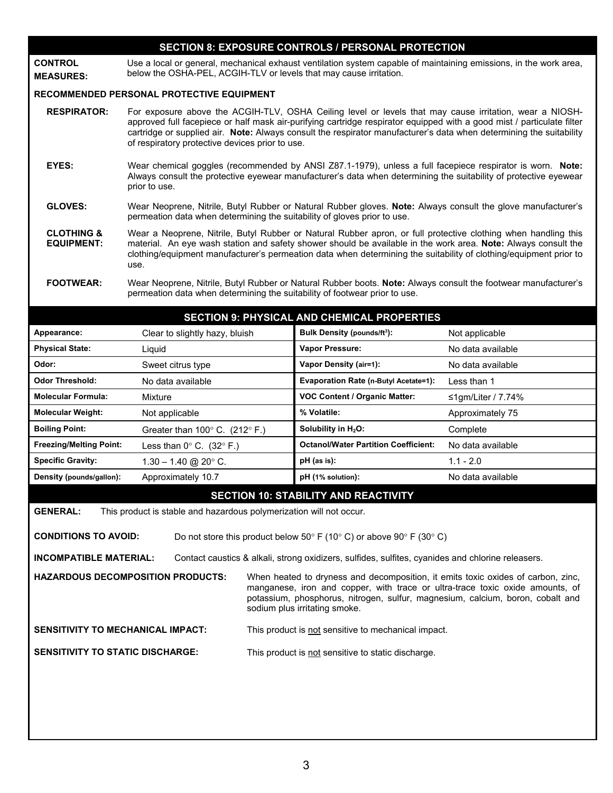## **SECTION 8: EXPOSURE CONTROLS / PERSONAL PROTECTION**

**CONTROL MEASURES:**  Use a local or general, mechanical exhaust ventilation system capable of maintaining emissions, in the work area, below the OSHA-PEL, ACGIH-TLV or levels that may cause irritation.

#### **RECOMMENDED PERSONAL PROTECTIVE EQUIPMENT**

- **RESPIRATOR:** For exposure above the ACGIH-TLV, OSHA Ceiling level or levels that may cause irritation, wear a NIOSHapproved full facepiece or half mask air-purifying cartridge respirator equipped with a good mist / particulate filter cartridge or supplied air. **Note:** Always consult the respirator manufacturer's data when determining the suitability of respiratory protective devices prior to use.
- **EYES:** Wear chemical goggles (recommended by ANSI Z87.1-1979), unless a full facepiece respirator is worn. **Note:** Always consult the protective eyewear manufacturer's data when determining the suitability of protective eyewear prior to use.
- **GLOVES:** Wear Neoprene, Nitrile, Butyl Rubber or Natural Rubber gloves. **Note:** Always consult the glove manufacturer's permeation data when determining the suitability of gloves prior to use.
- **CLOTHING & EQUIPMENT:** Wear a Neoprene, Nitrile, Butyl Rubber or Natural Rubber apron, or full protective clothing when handling this material. An eye wash station and safety shower should be available in the work area. **Note:** Always consult the clothing/equipment manufacturer's permeation data when determining the suitability of clothing/equipment prior to use.
- **FOOTWEAR:** Wear Neoprene, Nitrile, Butyl Rubber or Natural Rubber boots. **Note:** Always consult the footwear manufacturer's permeation data when determining the suitability of footwear prior to use.

| <b>SECTION 9: PHYSICAL AND CHEMICAL PROPERTIES</b>                            |                                                   |                                              |                    |  |
|-------------------------------------------------------------------------------|---------------------------------------------------|----------------------------------------------|--------------------|--|
| Appearance:                                                                   | Clear to slightly hazy, bluish                    | <b>Bulk Density (pounds/ft3):</b>            | Not applicable     |  |
| <b>Physical State:</b>                                                        | Liquid                                            | Vapor Pressure:                              | No data available  |  |
| Odor:                                                                         | Sweet citrus type                                 | <b>Vapor Density (air=1):</b>                | No data available  |  |
| <b>Odor Threshold:</b>                                                        | No data available                                 | <b>Evaporation Rate (n-Butyl Acetate=1):</b> | Less than 1        |  |
| <b>Molecular Formula:</b>                                                     | Mixture                                           | <b>VOC Content / Organic Matter:</b>         | ≤1qm/Liter / 7.74% |  |
| <b>Molecular Weight:</b>                                                      | Not applicable                                    | % Volatile:                                  | Approximately 75   |  |
| <b>Boiling Point:</b>                                                         | Greater than $100^{\circ}$ C. (212 $^{\circ}$ F.) | Solubility in $H_2O$ :                       | Complete           |  |
| <b>Freezing/Melting Point:</b>                                                | Less than $0^{\circ}$ C. (32 $^{\circ}$ F.)       | <b>Octanol/Water Partition Coefficient:</b>  | No data available  |  |
| <b>Specific Gravity:</b>                                                      | $1.30 - 1.40$ @ 20° C.                            | pH (as is):                                  | $1.1 - 2.0$        |  |
| Density (pounds/gallon):                                                      | Approximately 10.7                                | pH (1% solution):                            | No data available  |  |
| <b>SECTION 10: STABILITY AND REACTIVITY</b>                                   |                                                   |                                              |                    |  |
| GENFRAI<br>This product is stable and hazardous polymerization will not occur |                                                   |                                              |                    |  |

**GENERAL:** This product is stable and hazardous polymerization will not occur.

**CONDITIONS TO AVOID:** Do not store this product below  $50^{\circ}$  F (10° C) or above  $90^{\circ}$  F (30° C)

**INCOMPATIBLE MATERIAL:** Contact caustics & alkali, strong oxidizers, sulfides, sulfites, cyanides and chlorine releasers.

**HAZARDOUS DECOMPOSITION PRODUCTS:** When heated to dryness and decomposition, it emits toxic oxides of carbon, zinc, manganese, iron and copper, with trace or ultra-trace toxic oxide amounts, of potassium, phosphorus, nitrogen, sulfur, magnesium, calcium, boron, cobalt and sodium plus irritating smoke.

**SENSITIVITY TO MECHANICAL IMPACT:** This product is not sensitive to mechanical impact.

**SENSITIVITY TO STATIC DISCHARGE:** This product is not sensitive to static discharge.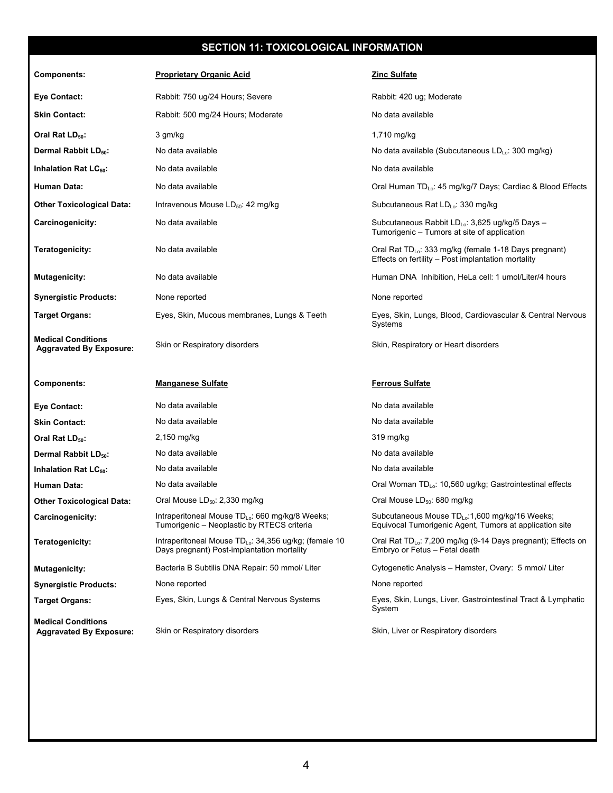# **SECTION 11: TOXICOLOGICAL INFORMATION**

| <b>Components:</b>                                          | <b>Proprietary Organic Acid</b>                                                                                 | Zinc Sulfate                                                                                                            |
|-------------------------------------------------------------|-----------------------------------------------------------------------------------------------------------------|-------------------------------------------------------------------------------------------------------------------------|
| <b>Eye Contact:</b>                                         | Rabbit: 750 ug/24 Hours; Severe                                                                                 | Rabbit: 420 ug; Moderate                                                                                                |
| <b>Skin Contact:</b>                                        | Rabbit: 500 mg/24 Hours; Moderate                                                                               | No data available                                                                                                       |
| Oral Rat LD <sub>50</sub> :                                 | 3 gm/kg                                                                                                         | 1,710 mg/kg                                                                                                             |
| Dermal Rabbit LD <sub>50</sub> :                            | No data available                                                                                               | No data available (Subcutaneous $LD_{Lo}$ : 300 mg/kg)                                                                  |
| Inhalation Rat LC <sub>50</sub> :                           | No data available                                                                                               | No data available                                                                                                       |
| Human Data:                                                 | No data available                                                                                               | Oral Human TD <sub>Lo</sub> : 45 mg/kg/7 Days; Cardiac & Blood Effects                                                  |
| <b>Other Toxicological Data:</b>                            | Intravenous Mouse LD <sub>50</sub> : 42 mg/kg                                                                   | Subcutaneous Rat LD <sub>Lo</sub> : 330 mg/kg                                                                           |
| Carcinogenicity:                                            | No data available                                                                                               | Subcutaneous Rabbit LD <sub>Lo</sub> : 3,625 ug/kg/5 Days -<br>Tumorigenic - Tumors at site of application              |
| Teratogenicity:                                             | No data available                                                                                               | Oral Rat TD <sub>Lo</sub> : 333 mg/kg (female 1-18 Days pregnant)<br>Effects on fertility - Post implantation mortality |
| <b>Mutagenicity:</b>                                        | No data available                                                                                               | Human DNA Inhibition, HeLa cell: 1 umol/Liter/4 hours                                                                   |
| <b>Synergistic Products:</b>                                | None reported                                                                                                   | None reported                                                                                                           |
| <b>Target Organs:</b>                                       | Eyes, Skin, Mucous membranes, Lungs & Teeth                                                                     | Eyes, Skin, Lungs, Blood, Cardiovascular & Central Nervous<br>Systems                                                   |
| <b>Medical Conditions</b><br><b>Aggravated By Exposure:</b> | Skin or Respiratory disorders                                                                                   | Skin, Respiratory or Heart disorders                                                                                    |
|                                                             |                                                                                                                 |                                                                                                                         |
| <b>Components:</b>                                          | <b>Manganese Sulfate</b>                                                                                        | <b>Ferrous Sulfate</b>                                                                                                  |
| <b>Eye Contact:</b>                                         | No data available                                                                                               | No data available                                                                                                       |
| <b>Skin Contact:</b>                                        | No data available                                                                                               | No data available                                                                                                       |
| Oral Rat LD <sub>50</sub> :                                 | 2,150 mg/kg                                                                                                     | 319 mg/kg                                                                                                               |
| Dermal Rabbit LD <sub>50</sub> :                            | No data available                                                                                               | No data available                                                                                                       |
| Inhalation Rat LC <sub>50</sub> :                           | No data available                                                                                               | No data available                                                                                                       |
| Human Data:                                                 | No data available                                                                                               | Oral Woman TD <sub>Lo</sub> : 10,560 ug/kg; Gastrointestinal effects                                                    |
| <b>Other Toxicological Data:</b>                            | Oral Mouse LD <sub>50</sub> : 2,330 mg/kg                                                                       | Oral Mouse LD <sub>50</sub> : 680 mg/kg                                                                                 |
| Carcinogenicity:                                            | Intraperitoneal Mouse TD <sub>Lo</sub> : 660 mg/kg/8 Weeks;<br>Tumorigenic - Neoplastic by RTECS criteria       | Subcutaneous Mouse TD <sub>Lo</sub> :1,600 mg/kg/16 Weeks;<br>Equivocal Tumorigenic Agent, Tumors at application site   |
| Teratogenicity:                                             | Intraperitoneal Mouse TD <sub>Lo</sub> : 34,356 ug/kg; (female 10<br>Days pregnant) Post-implantation mortality | Oral Rat TD <sub>Lo</sub> : 7,200 mg/kg (9-14 Days pregnant); Effects on<br>Embryo or Fetus - Fetal death               |
| <b>Mutagenicity:</b>                                        | Bacteria B Subtilis DNA Repair: 50 mmol/ Liter                                                                  | Cytogenetic Analysis - Hamster, Ovary: 5 mmol/ Liter                                                                    |
| <b>Synergistic Products:</b>                                | None reported                                                                                                   | None reported                                                                                                           |
| <b>Target Organs:</b>                                       | Eyes, Skin, Lungs & Central Nervous Systems                                                                     | Eyes, Skin, Lungs, Liver, Gastrointestinal Tract & Lymphatic<br>System                                                  |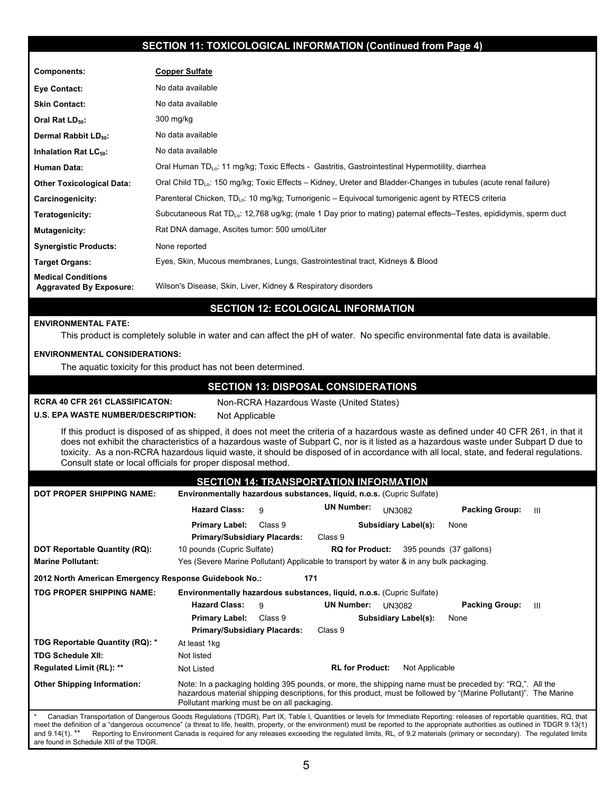### **SECTION 11: TOXICOLOGICAL INFORMATION (Continued from Page 4)**

| Components:                                                 | <b>Copper Sulfate</b>                                                                                                          |
|-------------------------------------------------------------|--------------------------------------------------------------------------------------------------------------------------------|
| Eye Contact:                                                | No data available                                                                                                              |
| <b>Skin Contact:</b>                                        | No data available                                                                                                              |
| Oral Rat LD <sub>50</sub> :                                 | $300$ mg/kg                                                                                                                    |
| Dermal Rabbit LD <sub>50</sub> :                            | No data available                                                                                                              |
| Inhalation Rat LC <sub>50</sub> :                           | No data available                                                                                                              |
| <b>Human Data:</b>                                          | Oral Human TD <sub>Lo</sub> : 11 mg/kg; Toxic Effects - Gastritis, Gastrointestinal Hypermotility, diarrhea                    |
| <b>Other Toxicological Data:</b>                            | Oral Child TD <sub>10</sub> : 150 mg/kg; Toxic Effects – Kidney, Ureter and Bladder-Changes in tubules (acute renal failure)   |
| Carcinogenicity:                                            | Parenteral Chicken, TD <sub>Lo</sub> : 10 mg/kg; Tumorigenic – Equivocal tumorigenic agent by RTECS criteria                   |
| Teratogenicity:                                             | Subcutaneous Rat TD <sub>Lo</sub> : 12,768 ug/kg; (male 1 Day prior to mating) paternal effects–Testes, epididymis, sperm duct |
| <b>Mutagenicity:</b>                                        | Rat DNA damage, Ascites tumor: 500 umol/Liter                                                                                  |
| <b>Synergistic Products:</b>                                | None reported                                                                                                                  |
| Target Organs:                                              | Eyes, Skin, Mucous membranes, Lungs, Gastrointestinal tract, Kidneys & Blood                                                   |
| <b>Medical Conditions</b><br><b>Aggravated By Exposure:</b> | Wilson's Disease, Skin, Liver, Kidney & Respiratory disorders                                                                  |

# **SECTION 12: ECOLOGICAL INFORMATION**

#### **ENVIRONMENTAL FATE:**

This product is completely soluble in water and can affect the pH of water. No specific environmental fate data is available.

#### **ENVIRONMENTAL CONSIDERATIONS:**

The aquatic toxicity for this product has not been determined.

#### **SECTION 13: DISPOSAL CONSIDERATIONS**

**RCRA 40 CFR 261 CLASSIFICATON:** Non-RCRA Hazardous Waste (United States)

#### **U.S. EPA WASTE NUMBER/DESCRIPTION:** Not Applicable

If this product is disposed of as shipped, it does not meet the criteria of a hazardous waste as defined under 40 CFR 261, in that it does not exhibit the characteristics of a hazardous waste of Subpart C, nor is it listed as a hazardous waste under Subpart D due to toxicity. As a non-RCRA hazardous liquid waste, it should be disposed of in accordance with all local, state, and federal regulations. Consult state or local officials for proper disposal method.

| <b>SECTION 14: TRANSPORTATION INFORMATION</b>         |                                                                                                                                                                                                                                                                            |  |  |  |  |
|-------------------------------------------------------|----------------------------------------------------------------------------------------------------------------------------------------------------------------------------------------------------------------------------------------------------------------------------|--|--|--|--|
| <b>DOT PROPER SHIPPING NAME:</b>                      | Environmentally hazardous substances, liquid, n.o.s. (Cupric Sulfate)                                                                                                                                                                                                      |  |  |  |  |
|                                                       | <b>UN Number:</b><br><b>Hazard Class:</b><br><b>Packing Group:</b><br><b>UN3082</b><br>9<br>Ш                                                                                                                                                                              |  |  |  |  |
|                                                       | Class 9<br><b>Subsidiary Label(s):</b><br><b>Primary Label:</b><br>None                                                                                                                                                                                                    |  |  |  |  |
|                                                       | <b>Primary/Subsidiary Placards:</b><br>Class 9                                                                                                                                                                                                                             |  |  |  |  |
| DOT Reportable Quantity (RQ):                         | 10 pounds (Cupric Sulfate)<br><b>RQ for Product:</b><br>395 pounds (37 gallons)                                                                                                                                                                                            |  |  |  |  |
| <b>Marine Pollutant:</b>                              | Yes (Severe Marine Pollutant) Applicable to transport by water & in any bulk packaging.                                                                                                                                                                                    |  |  |  |  |
| 2012 North American Emergency Response Guidebook No.: | 171                                                                                                                                                                                                                                                                        |  |  |  |  |
| <b>TDG PROPER SHIPPING NAME:</b>                      | Environmentally hazardous substances, liquid, n.o.s. (Cupric Sulfate)                                                                                                                                                                                                      |  |  |  |  |
|                                                       | <b>Hazard Class:</b><br><b>UN Number:</b><br><b>Packing Group:</b><br>9<br><b>UN3082</b><br>Ш                                                                                                                                                                              |  |  |  |  |
|                                                       | <b>Primary Label:</b><br>Class 9<br><b>Subsidiary Label(s):</b><br>None                                                                                                                                                                                                    |  |  |  |  |
|                                                       | <b>Primary/Subsidiary Placards:</b><br>Class 9                                                                                                                                                                                                                             |  |  |  |  |
| TDG Reportable Quantity (RQ): *                       | At least 1kg                                                                                                                                                                                                                                                               |  |  |  |  |
| <b>TDG Schedule XII:</b>                              | Not listed                                                                                                                                                                                                                                                                 |  |  |  |  |
| Regulated Limit (RL): **                              | <b>RL for Product:</b><br>Not Applicable<br>Not Listed                                                                                                                                                                                                                     |  |  |  |  |
| <b>Other Shipping Information:</b>                    | Note: In a packaging holding 395 pounds, or more, the shipping name must be preceded by: "RQ,". All the<br>hazardous material shipping descriptions, for this product, must be followed by "(Marine Pollutant)". The Marine<br>Pollutant marking must be on all packaging. |  |  |  |  |
|                                                       | Canadian Transportation of Dangerous Goods Requisitions (TDGR) Part IX Table L Quantities or levels for Immediate Reporting: releases of reportable quantities RO that                                                                                                     |  |  |  |  |

\* Canadian Transportation of Dangerous Goods Regulations (TDGR), Part IX, Table I, Quantities or levels for Immediate Reporting: releases of reportable quantities, RQ, that meet the definition of a "dangerous occurrence" (a threat to life, health, property, or the environment) must be reported to the appropriate authorities as outlined in TDGR 9.13(1) and 9.14(1).<sup>\*\*</sup> Reporting to Environment Canada is required for any releases exceeding the regulated limits, RL, of 9.2 materials (primary or secondary). The regulated limits are found in Schedule XIII of the TDGR.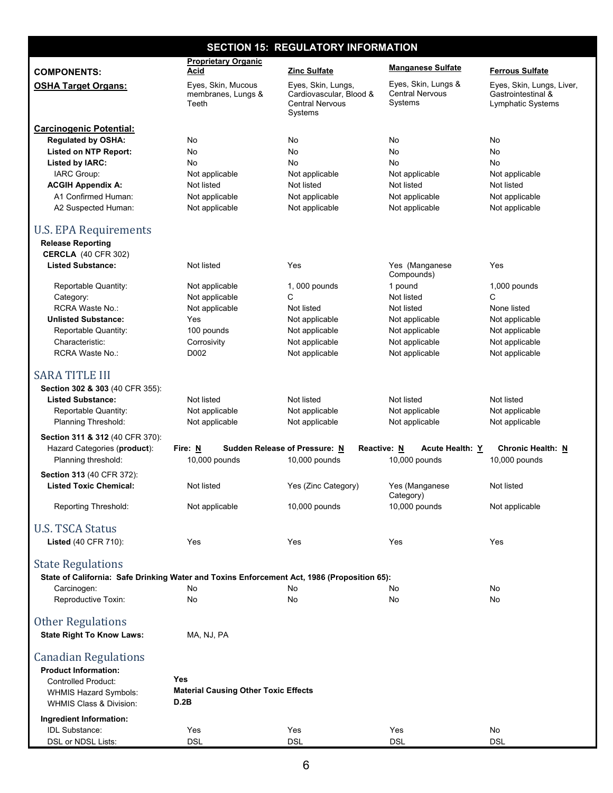| <b>SECTION 15: REGULATORY INFORMATION</b>                                                                                                                                                 |                                                            |                                                                                    |                                                          |                                                                      |  |
|-------------------------------------------------------------------------------------------------------------------------------------------------------------------------------------------|------------------------------------------------------------|------------------------------------------------------------------------------------|----------------------------------------------------------|----------------------------------------------------------------------|--|
|                                                                                                                                                                                           | <b>Proprietary Organic</b>                                 |                                                                                    | <b>Manganese Sulfate</b>                                 |                                                                      |  |
| <b>COMPONENTS:</b>                                                                                                                                                                        | Acid                                                       | Zinc Sulfate                                                                       |                                                          | <b>Ferrous Sulfate</b>                                               |  |
| <b>OSHA Target Organs:</b>                                                                                                                                                                | Eyes, Skin, Mucous<br>membranes, Lungs &<br>Teeth          | Eyes, Skin, Lungs,<br>Cardiovascular, Blood &<br><b>Central Nervous</b><br>Systems | Eyes, Skin, Lungs &<br><b>Central Nervous</b><br>Systems | Eyes, Skin, Lungs, Liver,<br>Gastrointestinal &<br>Lymphatic Systems |  |
| <b>Carcinogenic Potential:</b>                                                                                                                                                            |                                                            |                                                                                    |                                                          |                                                                      |  |
| <b>Requlated by OSHA:</b>                                                                                                                                                                 | No                                                         | No                                                                                 | No                                                       | No                                                                   |  |
| <b>Listed on NTP Report:</b>                                                                                                                                                              | No                                                         | No                                                                                 | No                                                       | No                                                                   |  |
| <b>Listed by IARC:</b>                                                                                                                                                                    | No                                                         | No                                                                                 | No                                                       | No                                                                   |  |
| IARC Group:<br><b>ACGIH Appendix A:</b>                                                                                                                                                   | Not applicable<br>Not listed                               | Not applicable<br>Not listed                                                       | Not applicable<br>Not listed                             | Not applicable<br>Not listed                                         |  |
| A1 Confirmed Human:                                                                                                                                                                       | Not applicable                                             | Not applicable                                                                     | Not applicable                                           | Not applicable                                                       |  |
| A2 Suspected Human:                                                                                                                                                                       | Not applicable                                             | Not applicable                                                                     | Not applicable                                           | Not applicable                                                       |  |
| U.S. EPA Requirements<br><b>Release Reporting</b><br><b>CERCLA</b> (40 CFR 302)                                                                                                           |                                                            |                                                                                    |                                                          |                                                                      |  |
| <b>Listed Substance:</b>                                                                                                                                                                  | Not listed                                                 | Yes                                                                                | Yes (Manganese<br>Compounds)                             | Yes                                                                  |  |
| Reportable Quantity:                                                                                                                                                                      | Not applicable                                             | 1,000 pounds                                                                       | 1 pound                                                  | 1,000 pounds                                                         |  |
| Category:                                                                                                                                                                                 | Not applicable                                             | C                                                                                  | Not listed                                               | C                                                                    |  |
| RCRA Waste No.:                                                                                                                                                                           | Not applicable                                             | Not listed                                                                         | Not listed                                               | None listed                                                          |  |
| <b>Unlisted Substance:</b>                                                                                                                                                                | Yes                                                        | Not applicable                                                                     | Not applicable                                           | Not applicable                                                       |  |
| Reportable Quantity:                                                                                                                                                                      | 100 pounds                                                 | Not applicable                                                                     | Not applicable                                           | Not applicable                                                       |  |
| Characteristic:                                                                                                                                                                           | Corrosivity                                                | Not applicable                                                                     | Not applicable                                           | Not applicable                                                       |  |
| RCRA Waste No.:                                                                                                                                                                           | D002                                                       | Not applicable                                                                     | Not applicable                                           | Not applicable                                                       |  |
| <b>SARA TITLE III</b><br>Section 302 & 303 (40 CFR 355):<br><b>Listed Substance:</b><br>Reportable Quantity:<br>Planning Threshold:                                                       | Not listed<br>Not applicable<br>Not applicable             | Not listed<br>Not applicable<br>Not applicable                                     | Not listed<br>Not applicable<br>Not applicable           | Not listed<br>Not applicable<br>Not applicable                       |  |
| Section 311 & 312 (40 CFR 370):                                                                                                                                                           |                                                            |                                                                                    |                                                          |                                                                      |  |
| Hazard Categories (product):<br>Planning threshold:                                                                                                                                       | Fire: N<br>10,000 pounds                                   | Sudden Release of Pressure: N<br>10,000 pounds                                     | Reactive: N<br><b>Acute Health: Y</b><br>10,000 pounds   | <b>Chronic Health: N</b><br>10,000 pounds                            |  |
| <b>Section 313 (40 CFR 372):</b>                                                                                                                                                          |                                                            |                                                                                    |                                                          |                                                                      |  |
| <b>Listed Toxic Chemical:</b>                                                                                                                                                             | Not listed                                                 | Yes (Zinc Category)                                                                | Yes (Manganese<br>Category)                              | Not listed                                                           |  |
| Reporting Threshold:                                                                                                                                                                      | Not applicable                                             | 10,000 pounds                                                                      | 10,000 pounds                                            | Not applicable                                                       |  |
| <b>U.S. TSCA Status</b>                                                                                                                                                                   |                                                            |                                                                                    |                                                          |                                                                      |  |
| Listed (40 CFR 710):                                                                                                                                                                      | Yes                                                        | Yes                                                                                | Yes                                                      | Yes                                                                  |  |
| <b>State Regulations</b><br>State of California: Safe Drinking Water and Toxins Enforcement Act, 1986 (Proposition 65):                                                                   |                                                            |                                                                                    |                                                          |                                                                      |  |
| Carcinogen:<br>Reproductive Toxin:                                                                                                                                                        | No<br>No                                                   | No<br>No                                                                           | No<br>No                                                 | No<br>No                                                             |  |
|                                                                                                                                                                                           |                                                            |                                                                                    |                                                          |                                                                      |  |
| <b>Other Regulations</b><br><b>State Right To Know Laws:</b>                                                                                                                              | MA, NJ, PA                                                 |                                                                                    |                                                          |                                                                      |  |
| <b>Canadian Regulations</b><br><b>Product Information:</b><br><b>Controlled Product:</b><br><b>WHMIS Hazard Symbols:</b><br><b>WHMIS Class &amp; Division:</b><br>Ingredient Information: | Yes<br><b>Material Causing Other Toxic Effects</b><br>D.2B |                                                                                    |                                                          |                                                                      |  |
| <b>IDL Substance:</b>                                                                                                                                                                     | Yes                                                        | Yes                                                                                | Yes                                                      | No                                                                   |  |
| DSL or NDSL Lists:                                                                                                                                                                        | <b>DSL</b>                                                 | <b>DSL</b>                                                                         | <b>DSL</b>                                               | <b>DSL</b>                                                           |  |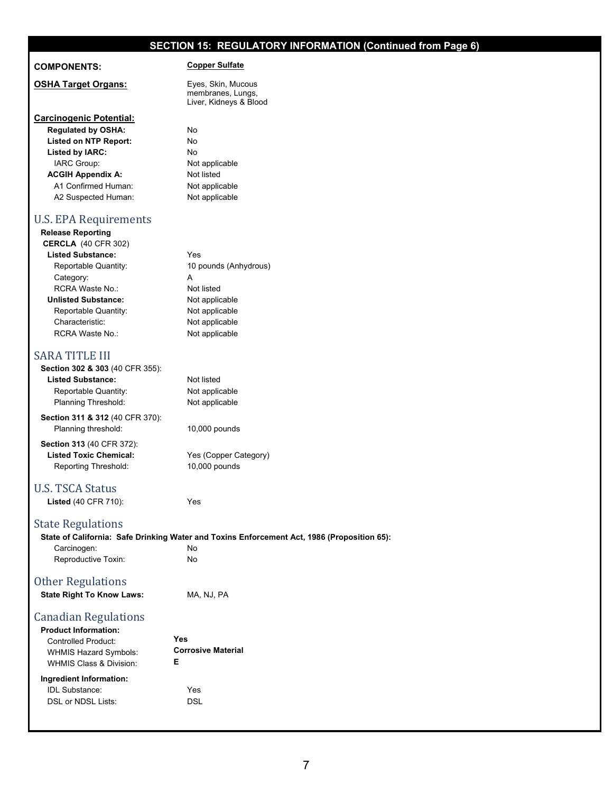# **SECTION 15: REGULATORY INFORMATION (Continued from Page 6)**

#### **COMPONENTS: Copper Sulfate**

**OSHA Target Organs:** Eyes, Skin, Mucous membranes, Lungs, Liver, Kidneys & Blood

**Carcinogenic Potential: Regulated by OSHA:** No  **Listed on NTP Report:** No  **Listed by IARC:** No IARC Group: Not applicable **ACGIH Appendix A:** Not listed A1 Confirmed Human: Not applicable A2 Suspected Human: Not applicable

#### U.S. EPA Requirements

| <b>Release Reporting</b>   |                       |
|----------------------------|-----------------------|
| <b>CERCLA</b> (40 CFR 302) |                       |
| <b>Listed Substance:</b>   | Yes                   |
| Reportable Quantity:       | 10 pounds (Anhydrous) |
| Category:                  | А                     |
| RCRA Waste No :            | Not listed            |
| <b>Unlisted Substance:</b> | Not applicable        |
| Reportable Quantity:       | Not applicable        |
| Characteristic:            | Not applicable        |
| RCRA Waste No.:            | Not applicable        |
|                            |                       |
|                            |                       |

# **SARA TITLE III**

| Section 302 & 303 (40 CFR 355):            |                                                                                             |
|--------------------------------------------|---------------------------------------------------------------------------------------------|
| <b>Listed Substance:</b>                   | Not listed                                                                                  |
| Reportable Quantity:                       | Not applicable                                                                              |
| Planning Threshold:                        | Not applicable                                                                              |
| <b>Section 311 &amp; 312 (40 CFR 370):</b> |                                                                                             |
| Planning threshold:                        | $10,000$ pounds                                                                             |
| <b>Section 313 (40 CFR 372):</b>           |                                                                                             |
| <b>Listed Toxic Chemical:</b>              | Yes (Copper Category)                                                                       |
| Reporting Threshold:                       | $10,000$ pounds                                                                             |
| U.S. TSCA Status                           |                                                                                             |
| <b>Listed (40 CFR 710):</b>                | Yes                                                                                         |
| <b>State Regulations</b>                   |                                                                                             |
|                                            | State of California: Safe Drinking Water and Toxins Enforcement Act, 1986 (Proposition 65): |
| Carcinogen:                                | No                                                                                          |
| Reproductive Toxin:                        | No                                                                                          |
| <b>Other Regulations</b>                   |                                                                                             |

| <b>State Right To Know Laws:</b> | MA, NJ, PA |
|----------------------------------|------------|
|----------------------------------|------------|

#### Canadian Regulations **Product Information:**

| Yes<br><b>Corrosive Material</b><br>F |
|---------------------------------------|
| Yes<br>DSL                            |
|                                       |